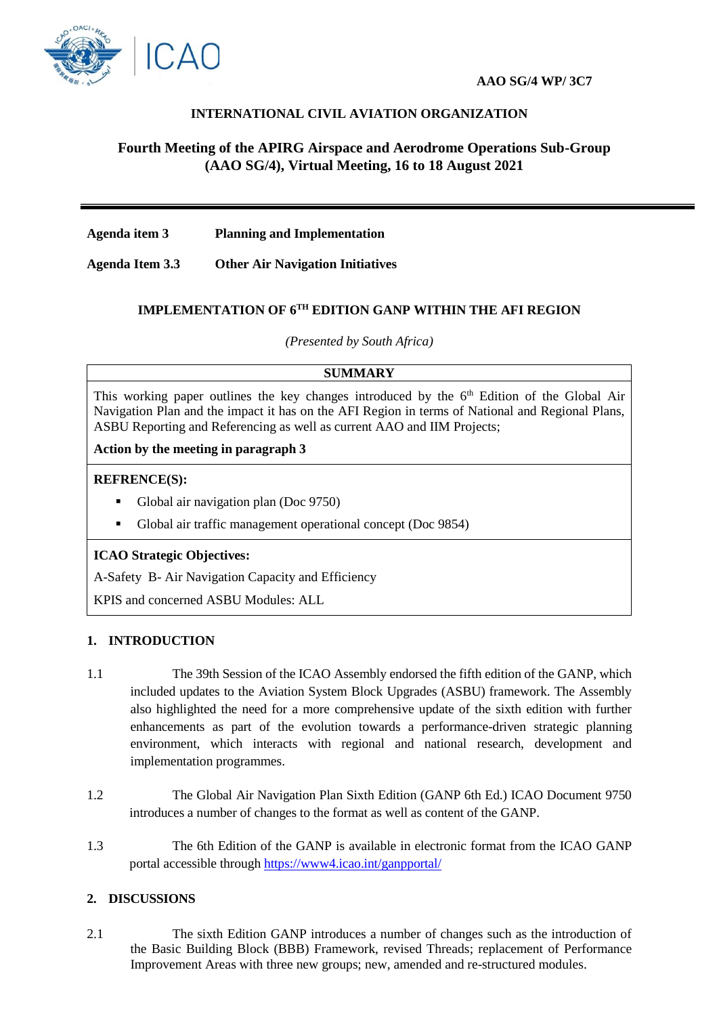

## **INTERNATIONAL CIVIL AVIATION ORGANIZATION**

# **Fourth Meeting of the APIRG Airspace and Aerodrome Operations Sub-Group (AAO SG/4), Virtual Meeting, 16 to 18 August 2021**

**Agenda item 3 Planning and Implementation**

**Agenda Item 3.3 Other Air Navigation Initiatives**

## **IMPLEMENTATION OF 6TH EDITION GANP WITHIN THE AFI REGION**

*(Presented by South Africa)*

#### **SUMMARY**

This working paper outlines the key changes introduced by the 6<sup>th</sup> Edition of the Global Air Navigation Plan and the impact it has on the AFI Region in terms of National and Regional Plans, ASBU Reporting and Referencing as well as current AAO and IIM Projects;

#### **Action by the meeting in paragraph 3**

#### **REFRENCE(S):**

- Global air navigation plan (Doc 9750)
- Global air traffic management operational concept (Doc 9854)

## **ICAO Strategic Objectives:**

A-Safety B- Air Navigation Capacity and Efficiency

KPIS and concerned ASBU Modules: ALL

## **1. INTRODUCTION**

- 1.1 The 39th Session of the ICAO Assembly endorsed the fifth edition of the GANP, which included updates to the Aviation System Block Upgrades (ASBU) framework. The Assembly also highlighted the need for a more comprehensive update of the sixth edition with further enhancements as part of the evolution towards a performance-driven strategic planning environment, which interacts with regional and national research, development and implementation programmes.
- 1.2 The Global Air Navigation Plan Sixth Edition (GANP 6th Ed.) ICAO Document 9750 introduces a number of changes to the format as well as content of the GANP.
- 1.3 The 6th Edition of the GANP is available in electronic format from the ICAO GANP portal accessible through<https://www4.icao.int/ganpportal/>

## **2. DISCUSSIONS**

2.1 The sixth Edition GANP introduces a number of changes such as the introduction of the Basic Building Block (BBB) Framework, revised Threads; replacement of Performance Improvement Areas with three new groups; new, amended and re-structured modules.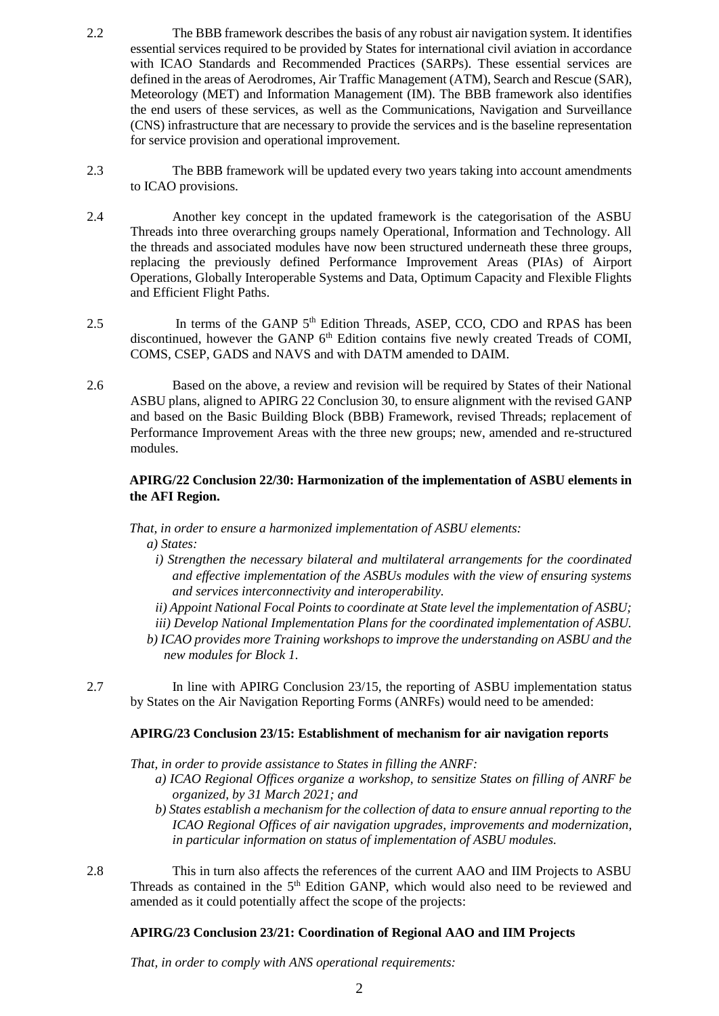- 2.2 The BBB framework describes the basis of any robust air navigation system. It identifies essential services required to be provided by States for international civil aviation in accordance with ICAO Standards and Recommended Practices (SARPs). These essential services are defined in the areas of Aerodromes, Air Traffic Management (ATM), Search and Rescue (SAR), Meteorology (MET) and Information Management (IM). The BBB framework also identifies the end users of these services, as well as the Communications, Navigation and Surveillance (CNS) infrastructure that are necessary to provide the services and is the baseline representation for service provision and operational improvement.
- 2.3 The BBB framework will be updated every two years taking into account amendments to ICAO provisions.
- 2.4 Another key concept in the updated framework is the categorisation of the ASBU Threads into three overarching groups namely Operational, Information and Technology. All the threads and associated modules have now been structured underneath these three groups, replacing the previously defined Performance Improvement Areas (PIAs) of Airport Operations, Globally Interoperable Systems and Data, Optimum Capacity and Flexible Flights and Efficient Flight Paths.
- 2.5 In terms of the GANP 5<sup>th</sup> Edition Threads, ASEP, CCO, CDO and RPAS has been discontinued, however the GANP 6<sup>th</sup> Edition contains five newly created Treads of COMI, COMS, CSEP, GADS and NAVS and with DATM amended to DAIM.
- 2.6 Based on the above, a review and revision will be required by States of their National ASBU plans, aligned to APIRG 22 Conclusion 30, to ensure alignment with the revised GANP and based on the Basic Building Block (BBB) Framework, revised Threads; replacement of Performance Improvement Areas with the three new groups; new, amended and re-structured modules.

#### **APIRG/22 Conclusion 22/30: Harmonization of the implementation of ASBU elements in the AFI Region.**

*That, in order to ensure a harmonized implementation of ASBU elements:*

*a) States:*

- *i) Strengthen the necessary bilateral and multilateral arrangements for the coordinated and effective implementation of the ASBUs modules with the view of ensuring systems and services interconnectivity and interoperability.*
- *ii) Appoint National Focal Points to coordinate at State level the implementation of ASBU;*
- *iii) Develop National Implementation Plans for the coordinated implementation of ASBU.*
- *b) ICAO provides more Training workshops to improve the understanding on ASBU and the new modules for Block 1.*

2.7 In line with APIRG Conclusion 23/15, the reporting of ASBU implementation status by States on the Air Navigation Reporting Forms (ANRFs) would need to be amended:

#### **APIRG/23 Conclusion 23/15: Establishment of mechanism for air navigation reports**

*That, in order to provide assistance to States in filling the ANRF:*

- *a) ICAO Regional Offices organize a workshop, to sensitize States on filling of ANRF be organized, by 31 March 2021; and*
- *b) States establish a mechanism for the collection of data to ensure annual reporting to the ICAO Regional Offices of air navigation upgrades, improvements and modernization, in particular information on status of implementation of ASBU modules.*
- 2.8 This in turn also affects the references of the current AAO and IIM Projects to ASBU Threads as contained in the 5<sup>th</sup> Edition GANP, which would also need to be reviewed and amended as it could potentially affect the scope of the projects:

## **APIRG/23 Conclusion 23/21: Coordination of Regional AAO and IIM Projects**

*That, in order to comply with ANS operational requirements:*